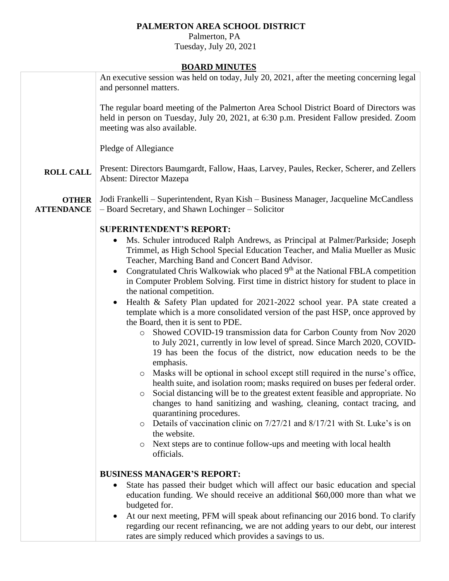# **PALMERTON AREA SCHOOL DISTRICT**

 Palmerton, PA Tuesday, July 20, 2021

## **BOARD MINUTES**

|                                   | <u>DUAND MINUTED</u>                                                                                                                                                                                                             |
|-----------------------------------|----------------------------------------------------------------------------------------------------------------------------------------------------------------------------------------------------------------------------------|
|                                   | An executive session was held on today, July 20, 2021, after the meeting concerning legal<br>and personnel matters.                                                                                                              |
|                                   | The regular board meeting of the Palmerton Area School District Board of Directors was<br>held in person on Tuesday, July 20, 2021, at 6:30 p.m. President Fallow presided. Zoom<br>meeting was also available.                  |
|                                   | Pledge of Allegiance                                                                                                                                                                                                             |
| <b>ROLL CALL</b>                  | Present: Directors Baumgardt, Fallow, Haas, Larvey, Paules, Recker, Scherer, and Zellers<br><b>Absent: Director Mazepa</b>                                                                                                       |
| <b>OTHER</b><br><b>ATTENDANCE</b> | Jodi Frankelli – Superintendent, Ryan Kish – Business Manager, Jacqueline McCandless<br>- Board Secretary, and Shawn Lochinger - Solicitor                                                                                       |
|                                   | <b>SUPERINTENDENT'S REPORT:</b>                                                                                                                                                                                                  |
|                                   | Ms. Schuler introduced Ralph Andrews, as Principal at Palmer/Parkside; Joseph<br>Trimmel, as High School Special Education Teacher, and Malia Mueller as Music<br>Teacher, Marching Band and Concert Band Advisor.               |
|                                   | Congratulated Chris Walkowiak who placed 9 <sup>th</sup> at the National FBLA competition<br>in Computer Problem Solving. First time in district history for student to place in<br>the national competition.                    |
|                                   | Health & Safety Plan updated for 2021-2022 school year. PA state created a<br>template which is a more consolidated version of the past HSP, once approved by<br>the Board, then it is sent to PDE.                              |
|                                   | Showed COVID-19 transmission data for Carbon County from Nov 2020<br>$\circ$<br>to July 2021, currently in low level of spread. Since March 2020, COVID-<br>19 has been the focus of the district, now education needs to be the |
|                                   | emphasis.<br>Masks will be optional in school except still required in the nurse's office,                                                                                                                                       |
|                                   | health suite, and isolation room; masks required on buses per federal order.                                                                                                                                                     |
|                                   | Social distancing will be to the greatest extent feasible and appropriate. No<br>O<br>changes to hand sanitizing and washing, cleaning, contact tracing, and<br>quarantining procedures.                                         |
|                                   | Details of vaccination clinic on 7/27/21 and 8/17/21 with St. Luke's is on                                                                                                                                                       |
|                                   | the website.<br>Next steps are to continue follow-ups and meeting with local health<br>$\circ$                                                                                                                                   |
|                                   | officials.                                                                                                                                                                                                                       |
|                                   | <b>BUSINESS MANAGER'S REPORT:</b>                                                                                                                                                                                                |
|                                   | State has passed their budget which will affect our basic education and special                                                                                                                                                  |
|                                   | education funding. We should receive an additional \$60,000 more than what we<br>budgeted for.                                                                                                                                   |
|                                   | At our next meeting, PFM will speak about refinancing our 2016 bond. To clarify                                                                                                                                                  |
|                                   | regarding our recent refinancing, we are not adding years to our debt, our interest<br>rates are simply reduced which provides a savings to us.                                                                                  |
|                                   |                                                                                                                                                                                                                                  |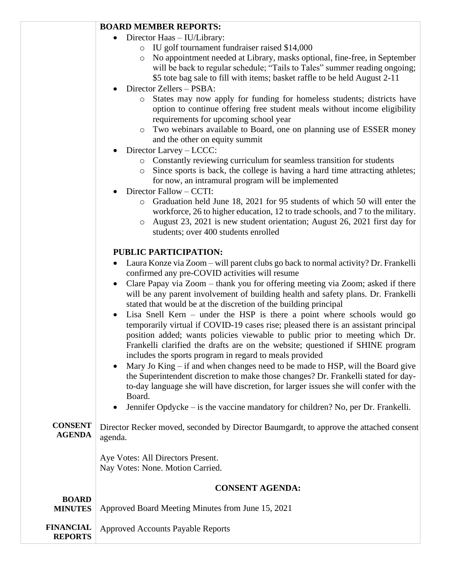#### **BOARD MEMBER REPORTS:**

- Director Haas IU/Library:
	- o IU golf tournament fundraiser raised \$14,000
	- o No appointment needed at Library, masks optional, fine-free, in September will be back to regular schedule; "Tails to Tales" summer reading ongoing; \$5 tote bag sale to fill with items; basket raffle to be held August 2-11
- Director Zellers PSBA:
	- o States may now apply for funding for homeless students; districts have option to continue offering free student meals without income eligibility requirements for upcoming school year
	- o Two webinars available to Board, one on planning use of ESSER money and the other on equity summit
- Director Larvey LCCC:
	- o Constantly reviewing curriculum for seamless transition for students
	- o Since sports is back, the college is having a hard time attracting athletes; for now, an intramural program will be implemented
- Director Fallow CCTI:
	- o Graduation held June 18, 2021 for 95 students of which 50 will enter the workforce, 26 to higher education, 12 to trade schools, and 7 to the military.
	- o August 23, 2021 is new student orientation; August 26, 2021 first day for students; over 400 students enrolled

### **PUBLIC PARTICIPATION:**

- Laura Konze via Zoom will parent clubs go back to normal activity? Dr. Frankelli confirmed any pre-COVID activities will resume
- Clare Papay via Zoom thank you for offering meeting via Zoom; asked if there will be any parent involvement of building health and safety plans. Dr. Frankelli stated that would be at the discretion of the building principal
- Lisa Snell Kern under the HSP is there a point where schools would go temporarily virtual if COVID-19 cases rise; pleased there is an assistant principal position added; wants policies viewable to public prior to meeting which Dr. Frankelli clarified the drafts are on the website; questioned if SHINE program includes the sports program in regard to meals provided
- Mary Jo King  $-$  if and when changes need to be made to HSP, will the Board give the Superintendent discretion to make those changes? Dr. Frankelli stated for dayto-day language she will have discretion, for larger issues she will confer with the Board.
- Jennifer Opdycke is the vaccine mandatory for children? No, per Dr. Frankelli.

**CONSENT AGENDA**  Director Recker moved, seconded by Director Baumgardt, to approve the attached consent agenda.

> Aye Votes: All Directors Present. Nay Votes: None. Motion Carried.

#### **CONSENT AGENDA:**

|                                    | СОЛОВАТ АШЕРИА.                                   |
|------------------------------------|---------------------------------------------------|
| <b>BOARD</b><br><b>MINUTES</b>     | Approved Board Meeting Minutes from June 15, 2021 |
| <b>FINANCIAL</b><br><b>REPORTS</b> | Approved Accounts Payable Reports                 |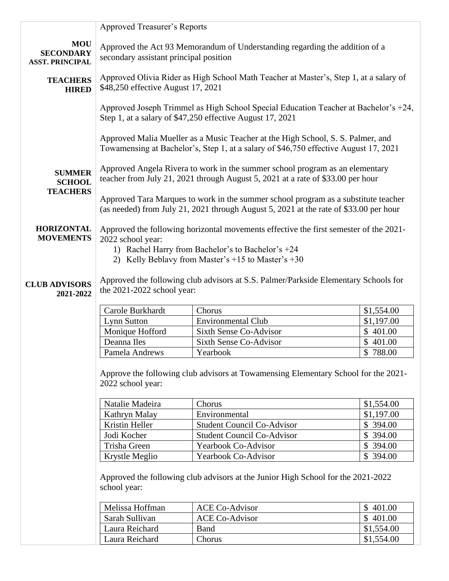|                                                          | <b>Approved Treasurer's Reports</b>                                                                                                                                         |                                                                                                                                                                         |                          |
|----------------------------------------------------------|-----------------------------------------------------------------------------------------------------------------------------------------------------------------------------|-------------------------------------------------------------------------------------------------------------------------------------------------------------------------|--------------------------|
| <b>MOU</b><br><b>SECONDARY</b><br><b>ASST. PRINCIPAL</b> | Approved the Act 93 Memorandum of Understanding regarding the addition of a<br>secondary assistant principal position                                                       |                                                                                                                                                                         |                          |
| <b>TEACHERS</b><br><b>HIRED</b>                          | Approved Olivia Rider as High School Math Teacher at Master's, Step 1, at a salary of<br>\$48,250 effective August 17, 2021                                                 |                                                                                                                                                                         |                          |
|                                                          |                                                                                                                                                                             | Approved Joseph Trimmel as High School Special Education Teacher at Bachelor's +24,<br>Step 1, at a salary of \$47,250 effective August 17, 2021                        |                          |
|                                                          |                                                                                                                                                                             | Approved Malia Mueller as a Music Teacher at the High School, S. S. Palmer, and<br>Towamensing at Bachelor's, Step 1, at a salary of \$46,750 effective August 17, 2021 |                          |
| <b>SUMMER</b><br><b>SCHOOL</b><br><b>TEACHERS</b>        | Approved Angela Rivera to work in the summer school program as an elementary<br>teacher from July 21, 2021 through August 5, 2021 at a rate of \$33.00 per hour             |                                                                                                                                                                         |                          |
|                                                          | Approved Tara Marques to work in the summer school program as a substitute teacher<br>(as needed) from July 21, 2021 through August 5, 2021 at the rate of \$33.00 per hour |                                                                                                                                                                         |                          |
| <b>HORIZONTAL</b><br><b>MOVEMENTS</b>                    | Approved the following horizontal movements effective the first semester of the 2021-<br>2022 school year:                                                                  |                                                                                                                                                                         |                          |
|                                                          |                                                                                                                                                                             | 1) Rachel Harry from Bachelor's to Bachelor's +24<br>2) Kelly Beblavy from Master's $+15$ to Master's $+30$                                                             |                          |
| <b>CLUB ADVISORS</b><br>2021-2022                        | the 2021-2022 school year:                                                                                                                                                  | Approved the following club advisors at S.S. Palmer/Parkside Elementary Schools for                                                                                     |                          |
|                                                          | Carole Burkhardt                                                                                                                                                            | Chorus                                                                                                                                                                  | \$1,554.00               |
|                                                          | <b>Lynn Sutton</b>                                                                                                                                                          | <b>Environmental Club</b>                                                                                                                                               | \$1,197.00               |
|                                                          | Monique Hofford                                                                                                                                                             | Sixth Sense Co-Advisor                                                                                                                                                  | \$401.00                 |
|                                                          | Deanna Iles                                                                                                                                                                 | <b>Sixth Sense Co-Advisor</b>                                                                                                                                           | \$401.00                 |
|                                                          | Pamela Andrews                                                                                                                                                              | Yearbook                                                                                                                                                                | \$788.00                 |
|                                                          | 2022 school year:                                                                                                                                                           | Approve the following club advisors at Towamensing Elementary School for the 2021-                                                                                      |                          |
|                                                          | Natalie Madeira                                                                                                                                                             | Chorus                                                                                                                                                                  | \$1,554.00               |
|                                                          | Kathryn Malay                                                                                                                                                               | Environmental                                                                                                                                                           | \$1,197.00               |
|                                                          | Kristin Heller                                                                                                                                                              | <b>Student Council Co-Advisor</b>                                                                                                                                       | \$394.00                 |
|                                                          | Jodi Kocher                                                                                                                                                                 | <b>Student Council Co-Advisor</b>                                                                                                                                       | \$394.00                 |
|                                                          | Trisha Green                                                                                                                                                                | Yearbook Co-Advisor                                                                                                                                                     | \$ 394.00                |
|                                                          | Krystle Meglio                                                                                                                                                              | Yearbook Co-Advisor                                                                                                                                                     | \$394.00                 |
|                                                          | school year:                                                                                                                                                                | Approved the following club advisors at the Junior High School for the 2021-2022                                                                                        |                          |
|                                                          |                                                                                                                                                                             |                                                                                                                                                                         |                          |
|                                                          | Melissa Hoffman                                                                                                                                                             | <b>ACE Co-Advisor</b>                                                                                                                                                   | \$401.00                 |
|                                                          | Sarah Sullivan                                                                                                                                                              | <b>ACE Co-Advisor</b>                                                                                                                                                   | \$401.00                 |
|                                                          | Laura Reichard<br>Laura Reichard                                                                                                                                            | <b>Band</b><br>Chorus                                                                                                                                                   | \$1,554.00<br>\$1,554.00 |
|                                                          |                                                                                                                                                                             |                                                                                                                                                                         |                          |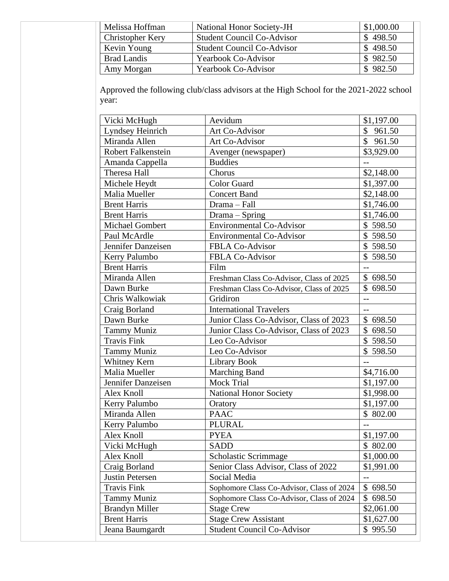| Melissa Hoffman         | <b>National Honor Society-JH</b>  | \$1,000.00 |
|-------------------------|-----------------------------------|------------|
| <b>Christopher Kery</b> | <b>Student Council Co-Advisor</b> | \$498.50   |
| Kevin Young             | <b>Student Council Co-Advisor</b> | \$498.50   |
| <b>Brad Landis</b>      | <b>Yearbook Co-Advisor</b>        | \$982.50   |
| Amy Morgan              | <b>Yearbook Co-Advisor</b>        | 982.50     |

Approved the following club/class advisors at the High School for the 2021-2022 school year:

| Vicki McHugh              | Aevidum                                   | \$1,197.00        |
|---------------------------|-------------------------------------------|-------------------|
| Lyndsey Heinrich          | Art Co-Advisor                            | \$961.50          |
| Miranda Allen             | Art Co-Advisor                            | \$961.50          |
| <b>Robert Falkenstein</b> | Avenger (newspaper)                       | \$3,929.00        |
| Amanda Cappella           | <b>Buddies</b>                            |                   |
| Theresa Hall              | Chorus                                    | \$2,148.00        |
| Michele Heydt             | Color Guard                               | \$1,397.00        |
| Malia Mueller             | <b>Concert Band</b>                       | \$2,148.00        |
| <b>Brent Harris</b>       | Drama - Fall                              | \$1,746.00        |
| <b>Brent Harris</b>       | Drama - Spring                            | \$1,746.00        |
| <b>Michael Gombert</b>    | <b>Environmental Co-Advisor</b>           | \$598.50          |
| Paul McArdle              | <b>Environmental Co-Advisor</b>           | \$598.50          |
| Jennifer Danzeisen        | <b>FBLA Co-Advisor</b>                    | \$598.50          |
| Kerry Palumbo             | FBLA Co-Advisor                           | \$598.50          |
| <b>Brent Harris</b>       | Film                                      | $-$               |
| Miranda Allen             | Freshman Class Co-Advisor, Class of 2025  | \$698.50          |
| Dawn Burke                | Freshman Class Co-Advisor, Class of 2025  | \$698.50          |
| Chris Walkowiak           | Gridiron                                  | $\overline{a}$    |
| Craig Borland             | <b>International Travelers</b>            | $\qquad \qquad -$ |
| Dawn Burke                | Junior Class Co-Advisor, Class of 2023    | \$698.50          |
| <b>Tammy Muniz</b>        | Junior Class Co-Advisor, Class of 2023    | \$698.50          |
| <b>Travis Fink</b>        | Leo Co-Advisor                            | \$598.50          |
| <b>Tammy Muniz</b>        | Leo Co-Advisor                            | \$598.50          |
| <b>Whitney Kern</b>       | Library Book                              | $-$               |
| Malia Mueller             | <b>Marching Band</b>                      | \$4,716.00        |
| Jennifer Danzeisen        | <b>Mock Trial</b>                         | \$1,197.00        |
| Alex Knoll                | <b>National Honor Society</b>             | \$1,998.00        |
| Kerry Palumbo             | Oratory                                   | \$1,197.00        |
| Miranda Allen             | <b>PAAC</b>                               | \$802.00          |
| Kerry Palumbo             | <b>PLURAL</b>                             | $-$               |
| Alex Knoll                | <b>PYEA</b>                               | \$1,197.00        |
| Vicki McHugh              | <b>SADD</b>                               | \$802.00          |
| Alex Knoll                | Scholastic Scrimmage                      | \$1,000.00        |
| Craig Borland             | Senior Class Advisor, Class of 2022       | \$1,991.00        |
| Justin Petersen           | Social Media                              |                   |
| <b>Travis Fink</b>        | Sophomore Class Co-Advisor, Class of 2024 | \$698.50          |
| Tammy Muniz               | Sophomore Class Co-Advisor, Class of 2024 | \$698.50          |
| <b>Brandyn Miller</b>     | <b>Stage Crew</b>                         | \$2,061.00        |
| <b>Brent Harris</b>       | <b>Stage Crew Assistant</b>               | \$1,627.00        |
| Jeana Baumgardt           | <b>Student Council Co-Advisor</b>         | \$995.50          |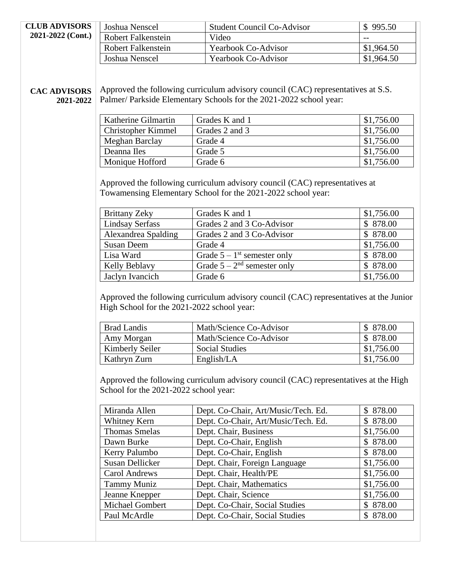| <b>CLUB ADVISORS</b>             | Joshua Nenscel                                                                                                                                         | <b>Student Council Co-Advisor</b>                                                                                           | \$995.50               |
|----------------------------------|--------------------------------------------------------------------------------------------------------------------------------------------------------|-----------------------------------------------------------------------------------------------------------------------------|------------------------|
| 2021-2022 (Cont.)                | <b>Robert Falkenstein</b>                                                                                                                              | Video                                                                                                                       |                        |
|                                  | Robert Falkenstein                                                                                                                                     | <b>Yearbook Co-Advisor</b>                                                                                                  | \$1,964.50             |
|                                  | Joshua Nenscel                                                                                                                                         | Yearbook Co-Advisor                                                                                                         | \$1,964.50             |
| <b>CAC ADVISORS</b><br>2021-2022 | Approved the following curriculum advisory council (CAC) representatives at S.S.<br>Palmer/ Parkside Elementary Schools for the 2021-2022 school year: |                                                                                                                             |                        |
|                                  | Katherine Gilmartin                                                                                                                                    | Grades K and 1                                                                                                              | \$1,756.00             |
|                                  | <b>Christopher Kimmel</b>                                                                                                                              | Grades 2 and 3                                                                                                              | \$1,756.00             |
|                                  | Meghan Barclay                                                                                                                                         | Grade 4                                                                                                                     | \$1,756.00             |
|                                  | Deanna Iles                                                                                                                                            | Grade 5                                                                                                                     | \$1,756.00             |
|                                  | Monique Hofford                                                                                                                                        | Grade 6                                                                                                                     | \$1,756.00             |
|                                  | <b>Brittany Zeky</b><br><b>Lindsay Serfass</b>                                                                                                         | Grades K and 1<br>Grades 2 and 3 Co-Advisor                                                                                 | \$1,756.00<br>\$878.00 |
|                                  | Alexandrea Spalding                                                                                                                                    | Grades 2 and 3 Co-Advisor                                                                                                   | \$878.00               |
|                                  | <b>Susan Deem</b>                                                                                                                                      | Grade 4                                                                                                                     | \$1,756.00             |
|                                  | Lisa Ward                                                                                                                                              | Grade $5 - 1$ <sup>st</sup> semester only                                                                                   | \$878.00               |
|                                  | Kelly Beblavy<br>Jaclyn Ivancich                                                                                                                       | Grade $5 - 2nd$ semester only<br>Grade 6                                                                                    | \$878.00<br>\$1,756.00 |
|                                  | High School for the 2021-2022 school year:                                                                                                             |                                                                                                                             |                        |
|                                  |                                                                                                                                                        |                                                                                                                             |                        |
|                                  | <b>Brad Landis</b>                                                                                                                                     | Math/Science Co-Advisor                                                                                                     | \$878.00               |
|                                  | Amy Morgan                                                                                                                                             | Math/Science Co-Advisor                                                                                                     | \$878.00               |
|                                  | Kimberly Seiler                                                                                                                                        | <b>Social Studies</b>                                                                                                       | \$1,756.00             |
|                                  | Kathryn Zurn                                                                                                                                           | English/LA                                                                                                                  | \$1,756.00             |
|                                  | School for the 2021-2022 school year:<br>Miranda Allen                                                                                                 | Approved the following curriculum advisory council (CAC) representatives at the High<br>Dept. Co-Chair, Art/Music/Tech. Ed. | \$878.00               |
|                                  | Whitney Kern                                                                                                                                           | Dept. Co-Chair, Art/Music/Tech. Ed.                                                                                         | \$878.00               |
|                                  | <b>Thomas Smelas</b>                                                                                                                                   | Dept. Chair, Business                                                                                                       | \$1,756.00             |
|                                  | Dawn Burke                                                                                                                                             | Dept. Co-Chair, English                                                                                                     | \$878.00               |
|                                  | Kerry Palumbo                                                                                                                                          | Dept. Co-Chair, English                                                                                                     | \$878.00               |
|                                  | Susan Dellicker                                                                                                                                        | Dept. Chair, Foreign Language                                                                                               | \$1,756.00             |
|                                  | <b>Carol Andrews</b>                                                                                                                                   | Dept. Chair, Health/PE                                                                                                      | \$1,756.00             |
|                                  | <b>Tammy Muniz</b>                                                                                                                                     | Dept. Chair, Mathematics                                                                                                    | \$1,756.00             |
|                                  | Jeanne Knepper                                                                                                                                         | Dept. Chair, Science                                                                                                        | \$1,756.00             |
|                                  | Michael Gombert<br>Paul McArdle                                                                                                                        | Dept. Co-Chair, Social Studies<br>Dept. Co-Chair, Social Studies                                                            | \$878.00<br>\$878.00   |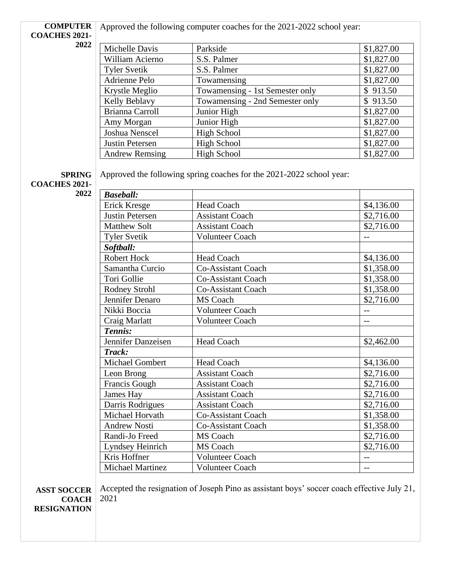#### **COMPUTER**  Approved the following computer coaches for the 2021-2022 school year:

**COACHES 2021- 2022**

| Michelle Davis        | Parkside                        | \$1,827.00 |
|-----------------------|---------------------------------|------------|
| William Acierno       | S.S. Palmer                     | \$1,827.00 |
| <b>Tyler Svetik</b>   | S.S. Palmer                     | \$1,827.00 |
| Adrienne Pelo         | Towamensing                     | \$1,827.00 |
| Krystle Meglio        | Towamensing - 1st Semester only | \$913.50   |
| Kelly Beblavy         | Towamensing - 2nd Semester only | \$913.50   |
| Brianna Carroll       | Junior High                     | \$1,827.00 |
| Amy Morgan            | Junior High                     | \$1,827.00 |
| Joshua Nenscel        | <b>High School</b>              | \$1,827.00 |
| Justin Petersen       | <b>High School</b>              | \$1,827.00 |
| <b>Andrew Remsing</b> | <b>High School</b>              | \$1,827.00 |

**SPRING** 

Approved the following spring coaches for the 2021-2022 school year:

**COACHES 2021- 2022**

| <b>Baseball:</b>        |                           |            |
|-------------------------|---------------------------|------------|
| Erick Kresge            | <b>Head Coach</b>         | \$4,136.00 |
| <b>Justin Petersen</b>  | <b>Assistant Coach</b>    | \$2,716.00 |
| <b>Matthew Solt</b>     | <b>Assistant Coach</b>    | \$2,716.00 |
| <b>Tyler Svetik</b>     | <b>Volunteer Coach</b>    |            |
| Softball:               |                           |            |
| <b>Robert Hock</b>      | <b>Head Coach</b>         | \$4,136.00 |
| Samantha Curcio         | <b>Co-Assistant Coach</b> | \$1,358.00 |
| Tori Gollie             | <b>Co-Assistant Coach</b> | \$1,358.00 |
| Rodney Strohl           | <b>Co-Assistant Coach</b> | \$1,358.00 |
| Jennifer Denaro         | <b>MS</b> Coach           | \$2,716.00 |
| Nikki Boccia            | <b>Volunteer Coach</b>    |            |
| Craig Marlatt           | <b>Volunteer Coach</b>    | $-$        |
| Tennis:                 |                           |            |
| Jennifer Danzeisen      | <b>Head Coach</b>         | \$2,462.00 |
| Track:                  |                           |            |
| <b>Michael Gombert</b>  | <b>Head Coach</b>         | \$4,136.00 |
| Leon Brong              | <b>Assistant Coach</b>    | \$2,716.00 |
| Francis Gough           | <b>Assistant Coach</b>    | \$2,716.00 |
| James Hay               | <b>Assistant Coach</b>    | \$2,716.00 |
| Darris Rodrigues        | <b>Assistant Coach</b>    | \$2,716.00 |
| Michael Horvath         | <b>Co-Assistant Coach</b> | \$1,358.00 |
| <b>Andrew Nosti</b>     | <b>Co-Assistant Coach</b> | \$1,358.00 |
| Randi-Jo Freed          | MS Coach                  | \$2,716.00 |
| Lyndsey Heinrich        | MS Coach                  | \$2,716.00 |
| Kris Hoffner            | <b>Volunteer Coach</b>    | $-$        |
| <b>Michael Martinez</b> | <b>Volunteer Coach</b>    |            |

**ASST SOCCER COACH RESIGNATION**

Accepted the resignation of Joseph Pino as assistant boys' soccer coach effective July 21, 2021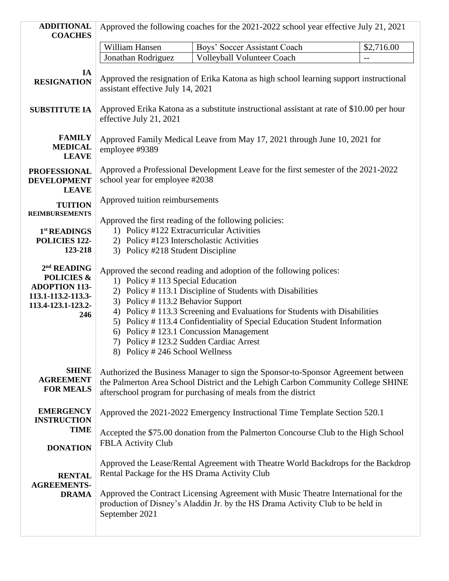| <b>ADDITIONAL</b><br><b>COACHES</b>                                                                                         | Approved the following coaches for the 2021-2022 school year effective July 21, 2021                                                                                                                                                                                                                                                                                                                                                                                                     |                                                                                                                                                                                                                                                           |            |
|-----------------------------------------------------------------------------------------------------------------------------|------------------------------------------------------------------------------------------------------------------------------------------------------------------------------------------------------------------------------------------------------------------------------------------------------------------------------------------------------------------------------------------------------------------------------------------------------------------------------------------|-----------------------------------------------------------------------------------------------------------------------------------------------------------------------------------------------------------------------------------------------------------|------------|
|                                                                                                                             | William Hansen                                                                                                                                                                                                                                                                                                                                                                                                                                                                           | Boys' Soccer Assistant Coach                                                                                                                                                                                                                              | \$2,716.00 |
|                                                                                                                             | Jonathan Rodriguez                                                                                                                                                                                                                                                                                                                                                                                                                                                                       | <b>Volleyball Volunteer Coach</b>                                                                                                                                                                                                                         | $-$        |
| IA<br><b>RESIGNATION</b>                                                                                                    | Approved the resignation of Erika Katona as high school learning support instructional<br>assistant effective July 14, 2021                                                                                                                                                                                                                                                                                                                                                              |                                                                                                                                                                                                                                                           |            |
| <b>SUBSTITUTE IA</b>                                                                                                        | Approved Erika Katona as a substitute instructional assistant at rate of \$10.00 per hour<br>effective July 21, 2021                                                                                                                                                                                                                                                                                                                                                                     |                                                                                                                                                                                                                                                           |            |
| <b>FAMILY</b><br><b>MEDICAL</b><br><b>LEAVE</b>                                                                             | Approved Family Medical Leave from May 17, 2021 through June 10, 2021 for<br>employee #9389                                                                                                                                                                                                                                                                                                                                                                                              |                                                                                                                                                                                                                                                           |            |
| <b>PROFESSIONAL</b><br><b>DEVELOPMENT</b><br><b>LEAVE</b>                                                                   | Approved a Professional Development Leave for the first semester of the 2021-2022<br>school year for employee #2038                                                                                                                                                                                                                                                                                                                                                                      |                                                                                                                                                                                                                                                           |            |
| <b>TUITION</b><br><b>REIMBURSEMENTS</b>                                                                                     | Approved tuition reimbursements<br>Approved the first reading of the following policies:                                                                                                                                                                                                                                                                                                                                                                                                 |                                                                                                                                                                                                                                                           |            |
| 1 <sup>st</sup> READINGS<br>POLICIES 122-<br>123-218                                                                        | 1) Policy #122 Extracurricular Activities<br>2) Policy #123 Interscholastic Activities<br>3) Policy #218 Student Discipline                                                                                                                                                                                                                                                                                                                                                              |                                                                                                                                                                                                                                                           |            |
| 2 <sup>nd</sup> READING<br><b>POLICIES &amp;</b><br><b>ADOPTION 113-</b><br>113.1-113.2-113.3-<br>113.4-123.1-123.2-<br>246 | Approved the second reading and adoption of the following polices:<br>1) Policy #113 Special Education<br>2) Policy #113.1 Discipline of Students with Disabilities<br>3) Policy #113.2 Behavior Support<br>4) Policy #113.3 Screening and Evaluations for Students with Disabilities<br>5) Policy #113.4 Confidentiality of Special Education Student Information<br>6) Policy #123.1 Concussion Management<br>7) Policy #123.2 Sudden Cardiac Arrest<br>8) Policy #246 School Wellness |                                                                                                                                                                                                                                                           |            |
| <b>SHINE</b><br><b>AGREEMENT</b><br><b>FOR MEALS</b>                                                                        |                                                                                                                                                                                                                                                                                                                                                                                                                                                                                          | Authorized the Business Manager to sign the Sponsor-to-Sponsor Agreement between<br>the Palmerton Area School District and the Lehigh Carbon Community College SHINE<br>afterschool program for purchasing of meals from the district                     |            |
| <b>EMERGENCY</b><br><b>INSTRUCTION</b>                                                                                      |                                                                                                                                                                                                                                                                                                                                                                                                                                                                                          | Approved the 2021-2022 Emergency Instructional Time Template Section 520.1                                                                                                                                                                                |            |
| <b>TIME</b><br><b>DONATION</b>                                                                                              | Accepted the \$75.00 donation from the Palmerton Concourse Club to the High School<br><b>FBLA Activity Club</b>                                                                                                                                                                                                                                                                                                                                                                          |                                                                                                                                                                                                                                                           |            |
| <b>RENTAL</b><br><b>AGREEMENTS-</b><br><b>DRAMA</b>                                                                         | Rental Package for the HS Drama Activity Club<br>September 2021                                                                                                                                                                                                                                                                                                                                                                                                                          | Approved the Lease/Rental Agreement with Theatre World Backdrops for the Backdrop<br>Approved the Contract Licensing Agreement with Music Theatre International for the<br>production of Disney's Aladdin Jr. by the HS Drama Activity Club to be held in |            |
|                                                                                                                             |                                                                                                                                                                                                                                                                                                                                                                                                                                                                                          |                                                                                                                                                                                                                                                           |            |